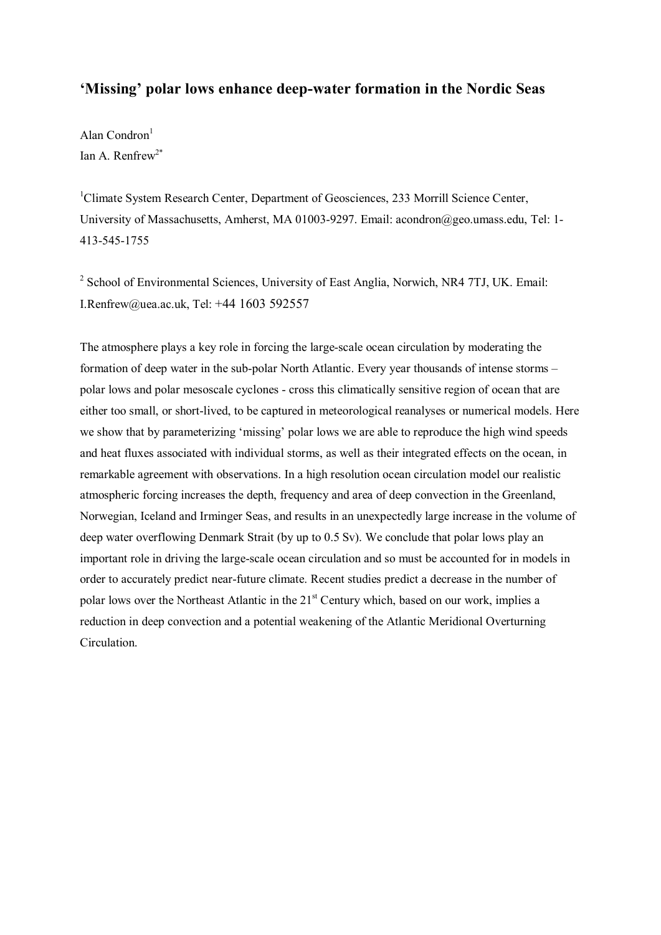## **'Missing' polar lows enhance deep-water formation in the Nordic Seas**

Alan Condron $<sup>1</sup>$ </sup> Ian A. Renfrew<sup>2\*</sup>

<sup>1</sup>Climate System Research Center, Department of Geosciences, 233 Morrill Science Center, University of Massachusetts, Amherst, MA 01003-9297. Email: acondron@geo.umass.edu, Tel: 1- 413-545-1755

<sup>2</sup> School of Environmental Sciences, University of East Anglia, Norwich, NR4 7TJ, UK. Email: I.Renfrew@uea.ac.uk, Tel: +44 1603 592557

The atmosphere plays a key role in forcing the large-scale ocean circulation by moderating the formation of deep water in the sub-polar North Atlantic. Every year thousands of intense storms – polar lows and polar mesoscale cyclones - cross this climatically sensitive region of ocean that are either too small, or short-lived, to be captured in meteorological reanalyses or numerical models. Here we show that by parameterizing 'missing' polar lows we are able to reproduce the high wind speeds and heat fluxes associated with individual storms, as well as their integrated effects on the ocean, in remarkable agreement with observations. In a high resolution ocean circulation model our realistic atmospheric forcing increases the depth, frequency and area of deep convection in the Greenland, Norwegian, Iceland and Irminger Seas, and results in an unexpectedly large increase in the volume of deep water overflowing Denmark Strait (by up to 0.5 Sv). We conclude that polar lows play an important role in driving the large-scale ocean circulation and so must be accounted for in models in order to accurately predict near-future climate. Recent studies predict a decrease in the number of polar lows over the Northeast Atlantic in the 21<sup>st</sup> Century which, based on our work, implies a reduction in deep convection and a potential weakening of the Atlantic Meridional Overturning Circulation.